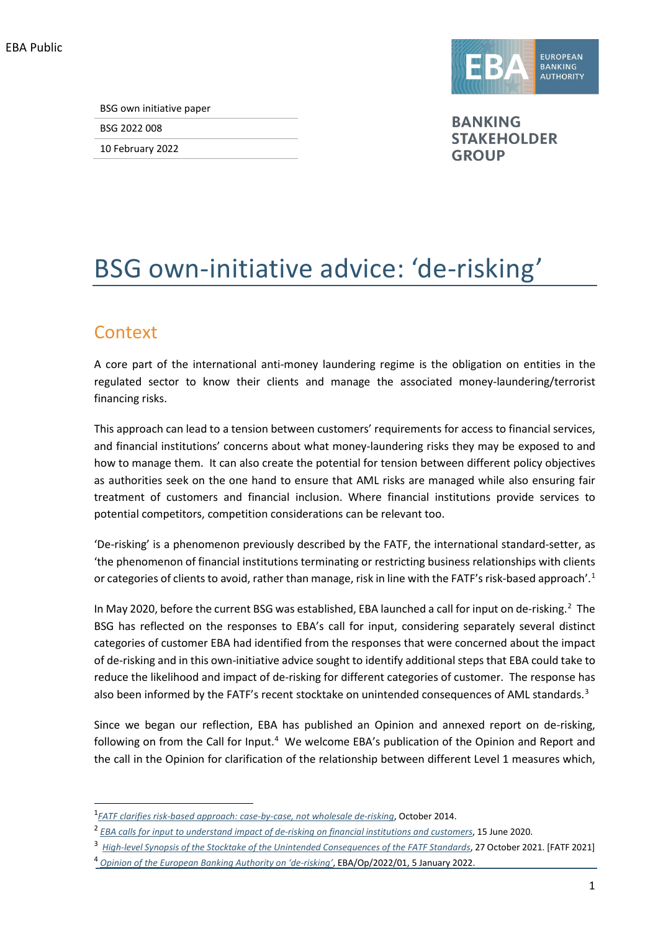EBA Public



BSG 2022 008

10 February 2022



**BANKING STAKEHOLDER GROUP** 

# BSG own-initiative advice: 'de-risking'

### **Context**

A core part of the international anti-money laundering regime is the obligation on entities in the regulated sector to know their clients and manage the associated money-laundering/terrorist financing risks.

This approach can lead to a tension between customers' requirements for access to financial services, and financial institutions' concerns about what money-laundering risks they may be exposed to and how to manage them. It can also create the potential for tension between different policy objectives as authorities seek on the one hand to ensure that AML risks are managed while also ensuring fair treatment of customers and financial inclusion. Where financial institutions provide services to potential competitors, competition considerations can be relevant too.

'De-risking' is a phenomenon previously described by the FATF, the international standard-setter, as 'the phenomenon of financial institutions terminating or restricting business relationships with clients or categories of clients to avoid, rather than manage, risk in line with the FATF's risk-based approach'.<sup>[1](#page-0-0)</sup>

In May 2020, before the current BSG was established, EBA launched a call for input on de-risking.<sup>2</sup> The BSG has reflected on the responses to EBA's call for input, considering separately several distinct categories of customer EBA had identified from the responses that were concerned about the impact of de-risking and in this own-initiative advice sought to identify additional steps that EBA could take to reduce the likelihood and impact of de-risking for different categories of customer. The response has also been informed by the FATF's recent stocktake on unintended consequences of AML standards.<sup>[3](#page-0-2)</sup>

Since we began our reflection, EBA has published an Opinion and annexed report on de-risking, following on from the Call for Input.<sup>[4](#page-0-3)</sup> We welcome EBA's publication of the Opinion and Report and the call in the Opinion for clarification of the relationship between different Level 1 measures which,

<span id="page-0-0"></span><sup>1</sup> *[FATF clarifies risk-based approach: case-by-case, not wholesale de-risking](http://www.fatf-gafi.org/documents/documents/rba-and-de-risking.html)*, October 2014.

<span id="page-0-1"></span><sup>2</sup> *[EBA calls for input to understand impact of de-risking on financial institutions and customers](https://www.eba.europa.eu/eba-calls-input-understand-impact-de-risking-financial-institutions-and-customers)*, 15 June 2020.

<sup>&</sup>lt;sup>3</sup> [High-level Synopsis of the Stocktake of the Unintended Consequences of the FATF Standards](https://www.fatf-gafi.org/media/fatf/documents/Unintended-Consequences.pdf), 27 October 2021. [FATF 2021]

<span id="page-0-3"></span><span id="page-0-2"></span><sup>4</sup> *[Opinion of the European Banking Authority on 'de-risking'](https://www.eba.europa.eu/sites/default/documents/files/document_library/Publications/Opinions/2022/Opinion%20on%20de-risking%20%28EBA-Op-2022-01%29/1025705/EBA%20Opinion%20and%20annexed%20report%20on%20de-risking.pdf)*, EBA/Op/2022/01, 5 January 2022.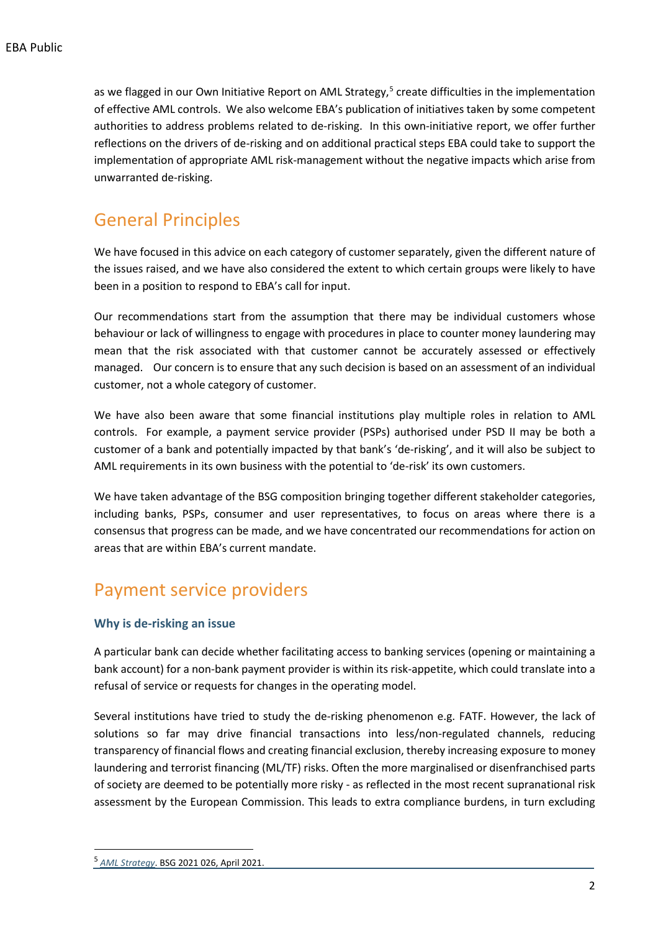as we flagged in our Own Initiative Report on AML Strategy, $5$  create difficulties in the implementation of effective AML controls. We also welcome EBA's publication of initiatives taken by some competent authorities to address problems related to de-risking. In this own-initiative report, we offer further reflections on the drivers of de-risking and on additional practical steps EBA could take to support the implementation of appropriate AML risk-management without the negative impacts which arise from unwarranted de-risking.

### General Principles

We have focused in this advice on each category of customer separately, given the different nature of the issues raised, and we have also considered the extent to which certain groups were likely to have been in a position to respond to EBA's call for input.

Our recommendations start from the assumption that there may be individual customers whose behaviour or lack of willingness to engage with procedures in place to counter money laundering may mean that the risk associated with that customer cannot be accurately assessed or effectively managed. Our concern is to ensure that any such decision is based on an assessment of an individual customer, not a whole category of customer.

We have also been aware that some financial institutions play multiple roles in relation to AML controls. For example, a payment service provider (PSPs) authorised under PSD II may be both a customer of a bank and potentially impacted by that bank's 'de-risking', and it will also be subject to AML requirements in its own business with the potential to 'de-risk' its own customers.

We have taken advantage of the BSG composition bringing together different stakeholder categories, including banks, PSPs, consumer and user representatives, to focus on areas where there is a consensus that progress can be made, and we have concentrated our recommendations for action on areas that are within EBA's current mandate.

### Payment service providers

#### **Why is de-risking an issue**

A particular bank can decide whether facilitating access to banking services (opening or maintaining a bank account) for a non-bank payment provider is within its risk-appetite, which could translate into a refusal of service or requests for changes in the operating model.

Several institutions have tried to study the de-risking phenomenon e.g. FATF. However, the lack of solutions so far may drive financial transactions into less/non-regulated channels, reducing transparency of financial flows and creating financial exclusion, thereby increasing exposure to money laundering and terrorist financing (ML/TF) risks. Often the more marginalised or disenfranchised parts of society are deemed to be potentially more risky - as reflected in the most recent supranational risk assessment by the European Commission. This leads to extra compliance burdens, in turn excluding

<span id="page-1-0"></span><sup>5</sup> *[AML Strategy](https://www.eba.europa.eu/sites/default/documents/files/document_library/973531/BSG%20own%20initiative%20opinion%20on%20AML.pdf)*. BSG 2021 026, April 2021.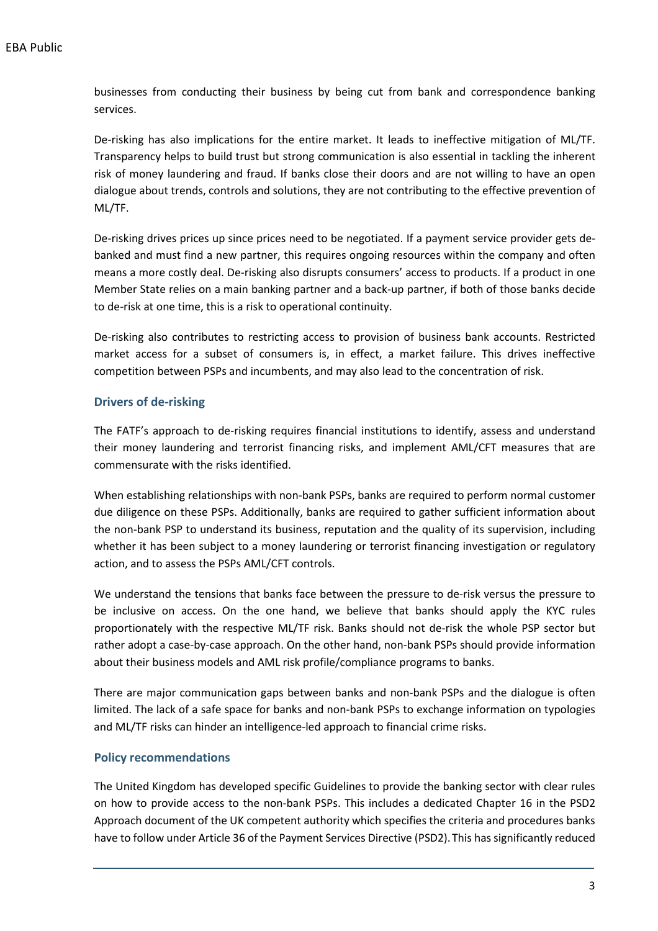businesses from conducting their business by being cut from bank and correspondence banking services.

De-risking has also implications for the entire market. It leads to ineffective mitigation of ML/TF. Transparency helps to build trust but strong communication is also essential in tackling the inherent risk of money laundering and fraud. If banks close their doors and are not willing to have an open dialogue about trends, controls and solutions, they are not contributing to the effective prevention of ML/TF.

De-risking drives prices up since prices need to be negotiated. If a payment service provider gets debanked and must find a new partner, this requires ongoing resources within the company and often means a more costly deal. De-risking also disrupts consumers' access to products. If a product in one Member State relies on a main banking partner and a back-up partner, if both of those banks decide to de-risk at one time, this is a risk to operational continuity.

De-risking also contributes to restricting access to provision of business bank accounts. Restricted market access for a subset of consumers is, in effect, a market failure. This drives ineffective competition between PSPs and incumbents, and may also lead to the concentration of risk.

#### **Drivers of de-risking**

The FATF's approach to de-risking requires financial institutions to identify, assess and understand their money laundering and terrorist financing risks, and implement AML/CFT measures that are commensurate with the risks identified.

When establishing relationships with non-bank PSPs, banks are required to perform normal customer due diligence on these PSPs. Additionally, banks are required to gather sufficient information about the non-bank PSP to understand its business, reputation and the quality of its supervision, including whether it has been subject to a money laundering or terrorist financing investigation or regulatory action, and to assess the PSPs AML/CFT controls.

We understand the tensions that banks face between the pressure to de-risk versus the pressure to be inclusive on access. On the one hand, we believe that banks should apply the KYC rules proportionately with the respective ML/TF risk. Banks should not de-risk the whole PSP sector but rather adopt a case-by-case approach. On the other hand, non-bank PSPs should provide information about their business models and AML risk profile/compliance programs to banks.

There are major communication gaps between banks and non-bank PSPs and the dialogue is often limited. The lack of a safe space for banks and non-bank PSPs to exchange information on typologies and ML/TF risks can hinder an intelligence-led approach to financial crime risks.

#### **Policy recommendations**

The United Kingdom has developed specific Guidelines to provide the banking sector with clear rules on how to provide access to the non-bank PSPs. This includes a dedicated Chapter 16 in the PSD2 Approach document of the UK competent authority which specifies the criteria and procedures banks have to follow under Article 36 of the Payment Services Directive (PSD2).This has significantly reduced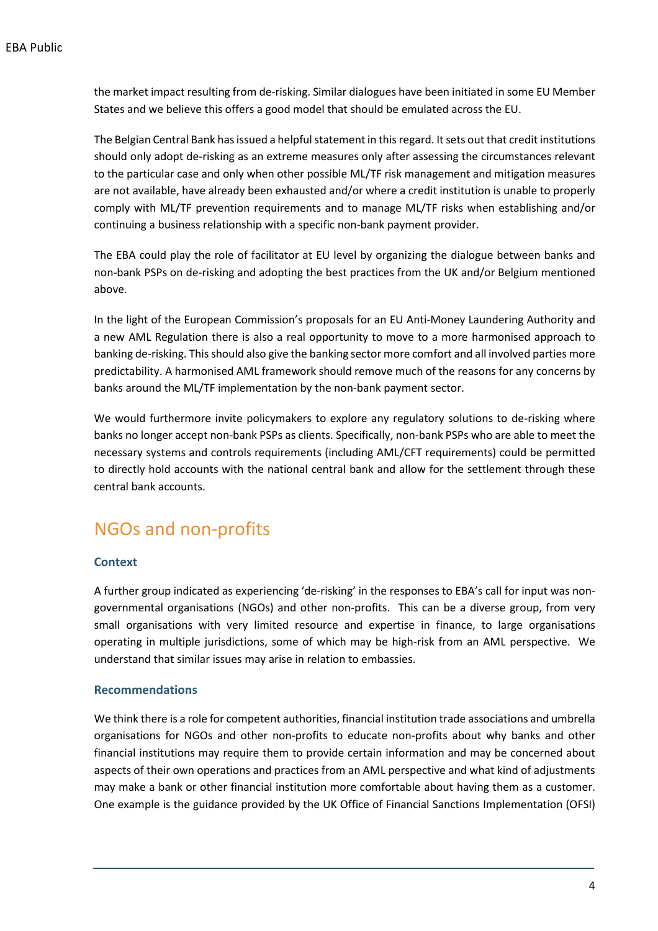the market impact resulting from de-risking. Similar dialogues have been initiated in some EU Member States and we believe this offers a good model that should be emulated across the EU.

The Belgian Central Bank has issued a helpful statement in this regard. It sets out that credit institutions should only adopt de-risking as an extreme measures only after assessing the circumstances relevant to the particular case and only when other possible ML/TF risk management and mitigation measures are not available, have already been exhausted and/or where a credit institution is unable to properly comply with ML/TF prevention requirements and to manage ML/TF risks when establishing and/or continuing a business relationship with a specific non-bank payment provider.

The EBA could play the role of facilitator at EU level by organizing the dialogue between banks and non-bank PSPs on de-risking and adopting the best practices from the UK and/or Belgium mentioned above.

In the light of the European Commission's proposals for an EU Anti-Money Laundering Authority and a new AML Regulation there is also a real opportunity to move to a more harmonised approach to banking de-risking. This should also give the banking sector more comfort and all involved parties more predictability. A harmonised AML framework should remove much of the reasons for any concerns by banks around the ML/TF implementation by the non-bank payment sector.

We would furthermore invite policymakers to explore any regulatory solutions to de-risking where banks no longer accept non-bank PSPs as clients. Specifically, non-bank PSPs who are able to meet the necessary systems and controls requirements (including AML/CFT requirements) could be permitted to directly hold accounts with the national central bank and allow for the settlement through these central bank accounts.

### NGOs and non-profits

#### **Context**

A further group indicated as experiencing 'de-risking' in the responses to EBA's call for input was nongovernmental organisations (NGOs) and other non-profits. This can be a diverse group, from very small organisations with very limited resource and expertise in finance, to large organisations operating in multiple jurisdictions, some of which may be high-risk from an AML perspective. We understand that similar issues may arise in relation to embassies.

#### **Recommendations**

We think there is a role for competent authorities, financial institution trade associations and umbrella organisations for NGOs and other non-profits to educate non-profits about why banks and other financial institutions may require them to provide certain information and may be concerned about aspects of their own operations and practices from an AML perspective and what kind of adjustments may make a bank or other financial institution more comfortable about having them as a customer. One example is the guidance provided by the UK Office of Financial Sanctions Implementation (OFSI)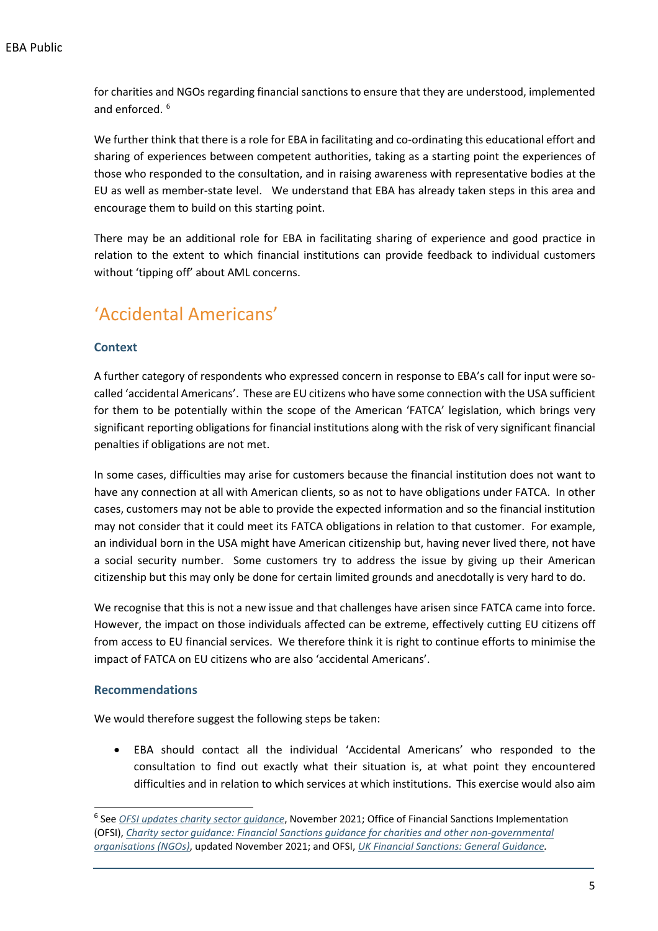for charities and NGOs regarding financial sanctions to ensure that they are understood, implemented and enforced.<sup>[6](#page-4-0)</sup>

We further think that there is a role for EBA in facilitating and co-ordinating this educational effort and sharing of experiences between competent authorities, taking as a starting point the experiences of those who responded to the consultation, and in raising awareness with representative bodies at the EU as well as member-state level. We understand that EBA has already taken steps in this area and encourage them to build on this starting point.

There may be an additional role for EBA in facilitating sharing of experience and good practice in relation to the extent to which financial institutions can provide feedback to individual customers without 'tipping off' about AML concerns.

## 'Accidental Americans'

#### **Context**

A further category of respondents who expressed concern in response to EBA's call for input were socalled 'accidental Americans'. These are EU citizens who have some connection with the USA sufficient for them to be potentially within the scope of the American 'FATCA' legislation, which brings very significant reporting obligations for financial institutions along with the risk of very significant financial penalties if obligations are not met.

In some cases, difficulties may arise for customers because the financial institution does not want to have any connection at all with American clients, so as not to have obligations under FATCA. In other cases, customers may not be able to provide the expected information and so the financial institution may not consider that it could meet its FATCA obligations in relation to that customer. For example, an individual born in the USA might have American citizenship but, having never lived there, not have a social security number. Some customers try to address the issue by giving up their American citizenship but this may only be done for certain limited grounds and anecdotally is very hard to do.

We recognise that this is not a new issue and that challenges have arisen since FATCA came into force. However, the impact on those individuals affected can be extreme, effectively cutting EU citizens off from access to EU financial services. We therefore think it is right to continue efforts to minimise the impact of FATCA on EU citizens who are also 'accidental Americans'.

#### **Recommendations**

We would therefore suggest the following steps be taken:

• EBA should contact all the individual 'Accidental Americans' who responded to the consultation to find out exactly what their situation is, at what point they encountered difficulties and in relation to which services at which institutions. This exercise would also aim

<span id="page-4-0"></span><sup>6</sup> See *[OFSI updates charity sector guidance](https://ofsi.blog.gov.uk/2021/11/01/ofsi-updates-charity-sector-guidance/)*, November 2021; Office of Financial Sanctions Implementation (OFSI), *[Charity sector guidance: Financial Sanctions guidance for charities and other non-governmental](https://assets.publishing.service.gov.uk/government/uploads/system/uploads/attachment_data/file/1030412/Charity_Guidance_2021_1.11.pdf)  [organisations \(NGOs\)](https://assets.publishing.service.gov.uk/government/uploads/system/uploads/attachment_data/file/1030412/Charity_Guidance_2021_1.11.pdf)*, updated November 2021; and OFSI, *[UK Financial Sanctions: General](https://assets.publishing.service.gov.uk/government/uploads/system/uploads/attachment_data/file/961516/General_Guidance_-_UK_Financial_Sanctions.pdf) Guidance.*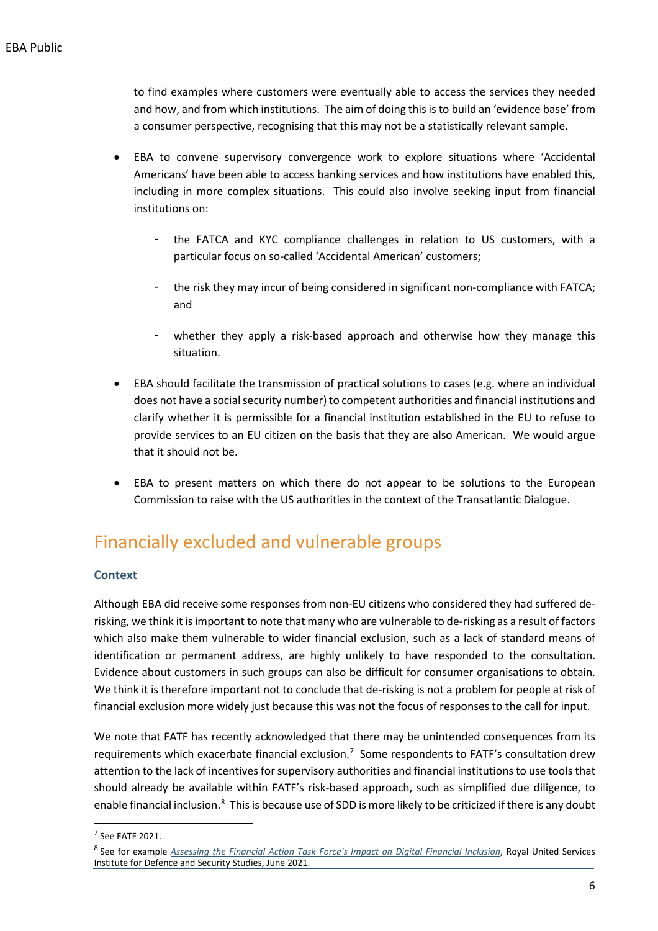to find examples where customers were eventually able to access the services they needed and how, and from which institutions. The aim of doing this is to build an 'evidence base' from a consumer perspective, recognising that this may not be a statistically relevant sample.

- EBA to convene supervisory convergence work to explore situations where 'Accidental Americans' have been able to access banking services and how institutions have enabled this, including in more complex situations. This could also involve seeking input from financial institutions on:
	- the FATCA and KYC compliance challenges in relation to US customers, with a particular focus on so-called 'Accidental American' customers;
	- the risk they may incur of being considered in significant non-compliance with FATCA; and
	- whether they apply a risk-based approach and otherwise how they manage this situation.
- EBA should facilitate the transmission of practical solutions to cases (e.g. where an individual does not have a social security number) to competent authorities and financial institutions and clarify whether it is permissible for a financial institution established in the EU to refuse to provide services to an EU citizen on the basis that they are also American. We would argue that it should not be.
- EBA to present matters on which there do not appear to be solutions to the European Commission to raise with the US authorities in the context of the Transatlantic Dialogue.

### Financially excluded and vulnerable groups

#### **Context**

Although EBA did receive some responses from non-EU citizens who considered they had suffered derisking, we think it is important to note that many who are vulnerable to de-risking as a result of factors which also make them vulnerable to wider financial exclusion, such as a lack of standard means of identification or permanent address, are highly unlikely to have responded to the consultation. Evidence about customers in such groups can also be difficult for consumer organisations to obtain. We think it is therefore important not to conclude that de-risking is not a problem for people at risk of financial exclusion more widely just because this was not the focus of responses to the call for input.

We note that FATF has recently acknowledged that there may be unintended consequences from its requirements which exacerbate financial exclusion.<sup>[7](#page-5-0)</sup> Some respondents to FATF's consultation drew attention to the lack of incentives for supervisory authorities and financial institutions to use tools that should already be available within FATF's risk-based approach, such as simplified due diligence, to enable financial inclusion.<sup>[8](#page-5-1)</sup> This is because use of SDD is more likely to be criticized if there is any doubt

<span id="page-5-0"></span><sup>7</sup> See FATF 2021.

<span id="page-5-1"></span><sup>8</sup> See for example *[Assessing the Financial Action Task Force's Impact on Digital Financial Inclusion](https://static.rusi.org/267_op_gates_financial_inclusion.pdf)*, Royal United Services Institute for Defence and Security Studies, June 2021.